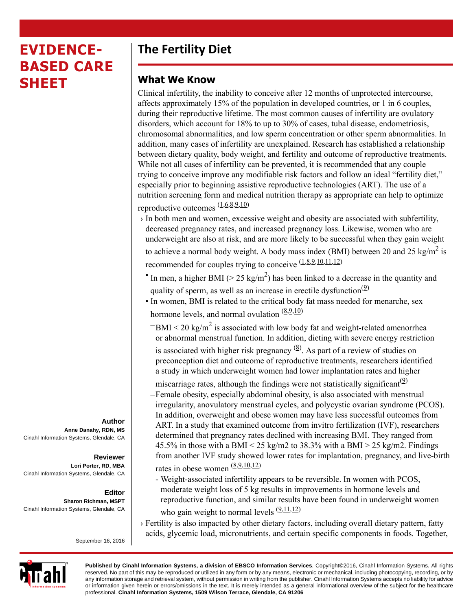# **EVIDENCE-BASED CARE SHEET**

# **The Fertility Diet**

### **What We Know**

Clinical infertility, the inability to conceive after 12 months of unprotected intercourse, affects approximately 15% of the population in developed countries, or 1 in 6 couples, during their reproductive lifetime. The most common causes of infertility are ovulatory disorders, which account for 18% to up to 30% of cases, tubal disease, endometriosis, chromosomal abnormalities, and low sperm concentration or other sperm abnormalities. In addition, many cases of infertility are unexplained. Research has established a relationship between dietary quality, body weight, and fertility and outcome of reproductive treatments. While not all cases of infertility can be prevented, it is recommended that any couple trying to conceive improve any modifiable risk factors and follow an ideal "fertility diet," especially prior to beginning assistive reproductive technologies (ART). The use of a nutrition screening form and medical nutrition therapy as appropriate can help to optimize reproductive outcomes  $\frac{(1,6,8,9,10)}{2}$  $\frac{(1,6,8,9,10)}{2}$  $\frac{(1,6,8,9,10)}{2}$  $\frac{(1,6,8,9,10)}{2}$  $\frac{(1,6,8,9,10)}{2}$  $\frac{(1,6,8,9,10)}{2}$  $\frac{(1,6,8,9,10)}{2}$ 

 $\rightarrow$  In both men and women, excessive weight and obesity are associated with subfertility, decreased pregnancy rates, and increased pregnancy loss. Likewise, women who are underweight are also at risk, and are more likely to be successful when they gain weight

to achieve a normal body weight. A body mass index (BMI) between 20 and 25 kg/m<sup>2</sup> is recommended for couples trying to conceive  $(1,8,9,10,11,12)$  $(1,8,9,10,11,12)$  $(1,8,9,10,11,12)$  $(1,8,9,10,11,12)$  $(1,8,9,10,11,12)$  $(1,8,9,10,11,12)$  $(1,8,9,10,11,12)$ 

- In men, a higher BMI ( $> 25 \text{ kg/m}^2$ ) has been linked to a decrease in the quantity and quality of sperm, as well as an increase in erectile dysfunction<sup>(2)</sup>
- In women, BMI is related to the critical body fat mass needed for menarche, sex hormone levels, and normal ovulation  $(\frac{8,9,10)}{8,100}$  $(\frac{8,9,10)}{8,100}$  $(\frac{8,9,10)}{8,100}$  $(\frac{8,9,10)}{8,100}$  $(\frac{8,9,10)}{8,100}$ 
	- $-BMI < 20$  kg/m<sup>2</sup> is associated with low body fat and weight-related amenorrhea or abnormal menstrual function. In addition, dieting with severe energy restriction is associated with higher risk pregnancy  $(8)$ . As part of a review of studies on preconception diet and outcome of reproductive treatments, researchers identified a study in which underweight women had lower implantation rates and higher

miscarriage rates, although the findings were not statistically significant<sup>(2)</sup> –Female obesity, especially abdominal obesity, is also associated with menstrual irregularity, anovulatory menstrual cycles, and polycystic ovarian syndrome (PCOS). In addition, overweight and obese women may have less successful outcomes from ART. In a study that examined outcome from invitro fertilization (IVF), researchers determined that pregnancy rates declined with increasing BMI. They ranged from 45.5% in those with a BMI < 25 kg/m2 to 38.3% with a BMI > 25 kg/m2. Findings from another IVF study showed lower rates for implantation, pregnancy, and live-birth rates in obese women [\(8](#page-3-2),[9](#page-3-3)[,10](#page-3-4)[,12](#page-3-6))

- Weight-associated infertility appears to be reversible. In women with PCOS, moderate weight loss of 5 kg results in improvements in hormone levels and reproductive function, and similar results have been found in underweight women who gain weight to normal levels  $(9,11,12)$  $(9,11,12)$  $(9,11,12)$  $(9,11,12)$
- › Fertility is also impacted by other dietary factors, including overall dietary pattern, fatty acids, glycemic load, micronutrients, and certain specific components in foods. Together,



**Published by Cinahl Information Systems, a division of EBSCO Information Services**. Copyright©2016, Cinahl Information Systems. All rights reserved. No part of this may be reproduced or utilized in any form or by any means, electronic or mechanical, including photocopying, recording, or by any information storage and retrieval system, without permission in writing from the publisher. Cinahl Information Systems accepts no liability for advice or information given herein or errors/omissions in the text. It is merely intended as a general informational overview of the subject for the healthcare professional. **Cinahl Information Systems, 1509 Wilson Terrace, Glendale, CA 91206**

**Author Anne Danahy, RDN, MS** Cinahl Information Systems, Glendale, CA

#### **Reviewer Lori Porter, RD, MBA** Cinahl Information Systems, Glendale, CA

**Editor Sharon Richman, MSPT** Cinahl Information Systems, Glendale, CA

September 16, 2016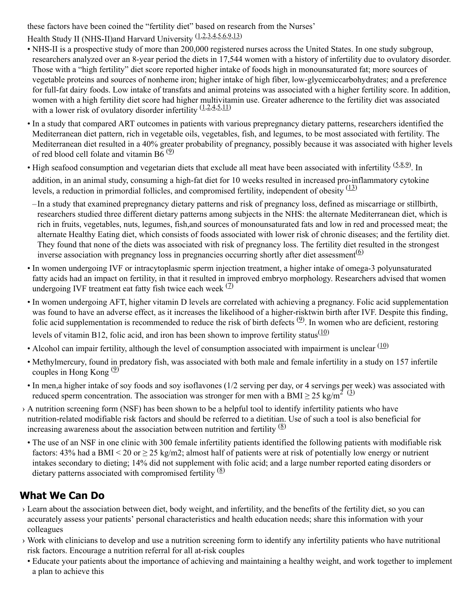these factors have been coined the "fertility diet" based on research from the Nurses'

Health Study II (NHS-II)and Harvard University ([1](#page-3-0)[,2,](#page-3-7)[3](#page-3-8)[,4,](#page-3-9)[5](#page-3-10),[6](#page-3-1)[,9,](#page-3-3)[13\)](#page-3-11)

- NHS-II is a prospective study of more than 200,000 registered nurses across the United States. In one study subgroup, researchers analyzed over an 8-year period the diets in 17,544 women with a history of infertility due to ovulatory disorder. Those with a "high fertility" diet score reported higher intake of foods high in monounsaturated fat; more sources of vegetable proteins and sources of nonheme iron; higher intake of high fiber, low-glycemiccarbohydrates; and a preference for full-fat dairy foods. Low intake of transfats and animal proteins was associated with a higher fertility score. In addition, women with a high fertility diet score had higher multivitamin use. Greater adherence to the fertility diet was associated with a lower risk of ovulatory disorder infertility  $(1,2,4,5,11)$  $(1,2,4,5,11)$  $(1,2,4,5,11)$  $(1,2,4,5,11)$  $(1,2,4,5,11)$  $(1,2,4,5,11)$  $(1,2,4,5,11)$
- In a study that compared ART outcomes in patients with various prepregnancy dietary patterns, researchers identified the Mediterranean diet pattern, rich in vegetable oils, vegetables, fish, and legumes, to be most associated with fertility. The Mediterranean diet resulted in a 40% greater probability of pregnancy, possibly because it was associated with higher levels of red blood cell folate and vitamin B6 $(9)$
- High seafood consumption and vegetarian diets that exclude all meat have been associated with infertility  $(5,8,9)$  $(5,8,9)$  $(5,8,9)$  $(5,8,9)$  $(5,8,9)$ . In addition, in an animal study, consuming a high-fat diet for 10 weeks resulted in increased pro-inflammatory cytokine levels, a reduction in primordial follicles, and compromised fertility, independent of obesity  $\frac{(13)}{(13)}$  $\frac{(13)}{(13)}$  $\frac{(13)}{(13)}$
- –In a study that examined prepregnancy dietary patterns and risk of pregnancy loss, defined as miscarriage or stillbirth, researchers studied three different dietary patterns among subjects in the NHS: the alternate Mediterranean diet, which is rich in fruits, vegetables, nuts, legumes, fish,and sources of monounsaturated fats and low in red and processed meat; the alternate Healthy Eating diet, which consists of foods associated with lower risk of chronic diseases; and the fertility diet. They found that none of the diets was associated with risk of pregnancy loss. The fertility diet resulted in the strongest inverse association with pregnancy loss in pregnancies occurring shortly after diet assessment<sup> $(6)$  $(6)$  $(6)$ </sup>
- In women undergoing IVF or intracytoplasmic sperm injection treatment, a higher intake of omega-3 polyunsaturated fatty acids had an impact on fertility, in that it resulted in improved embryo morphology. Researchers advised that women undergoing IVF treatment eat fatty fish twice each week  $(2)$
- In women undergoing AFT, higher vitamin D levels are correlated with achieving a pregnancy. Folic acid supplementation was found to have an adverse effect, as it increases the likelihood of a higher-risktwin birth after IVF. Despite this finding, folic acid supplementation is recommended to reduce the risk of birth defects  $(2)$ . In women who are deficient, restoring levels of vitamin B12, folic acid, and iron has been shown to improve fertility status $(10)$  $(10)$
- Alcohol can impair fertility, although the level of consumption associated with impairment is unclear  $(10)$  $(10)$
- Methylmercury, found in predatory fish, was associated with both male and female infertility in a study on 157 infertile couples in Hong Kong  $(9)$  $(9)$  $(9)$
- In men,a higher intake of soy foods and soy isoflavones (1/2 serving per day, or 4 servings per week) was associated with reduced sperm concentration. The association was stronger for men with a BMI  $\geq$  25 kg/m<sup>2</sup> [\(3\)](#page-3-8)
- › A nutrition screening form (NSF) has been shown to be a helpful tool to identify infertility patients who have nutrition-related modifiable risk factors and should be referred to a dietitian. Use of such a tool is also beneficial for increasing awareness about the association between nutrition and fertility  $\frac{8}{2}$
- The use of an NSF in one clinic with 300 female infertility patients identified the following patients with modifiable risk factors: 43% had a BMI < 20 or  $\geq$  25 kg/m2; almost half of patients were at risk of potentially low energy or nutrient intakes secondary to dieting; 14% did not supplement with folic acid; and a large number reported eating disorders or dietary patterns associated with compromised fertility  $\frac{8}{8}$

## **What We Can Do**

- › Learn about the association between diet, body weight, and infertility, and the benefits of the fertility diet, so you can accurately assess your patients' personal characteristics and health education needs; share this information with your colleagues
- › Work with clinicians to develop and use a nutrition screening form to identify any infertility patients who have nutritional risk factors. Encourage a nutrition referral for all at-risk couples
- Educate your patients about the importance of achieving and maintaining a healthy weight, and work together to implement a plan to achieve this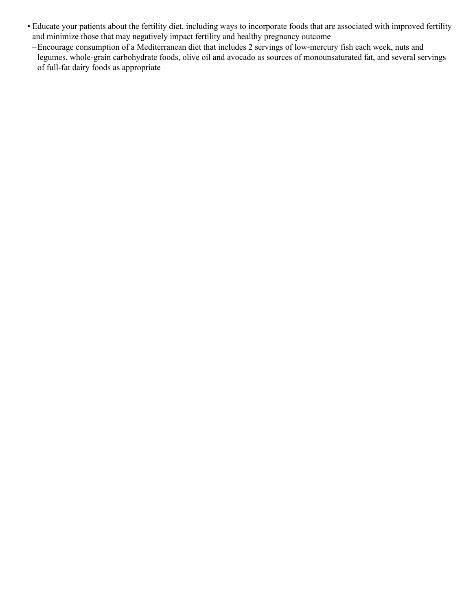- Educate your patients about the fertility diet, including ways to incorporate foods that are associated with improved fertility and minimize those that may negatively impact fertility and healthy pregnancy outcome
- –Encourage consumption of a Mediterranean diet that includes 2 servings of low-mercury fish each week, nuts and legumes, whole-grain carbohydrate foods, olive oil and avocado as sources of monounsaturated fat, and several servings of full-fat dairy foods as appropriate